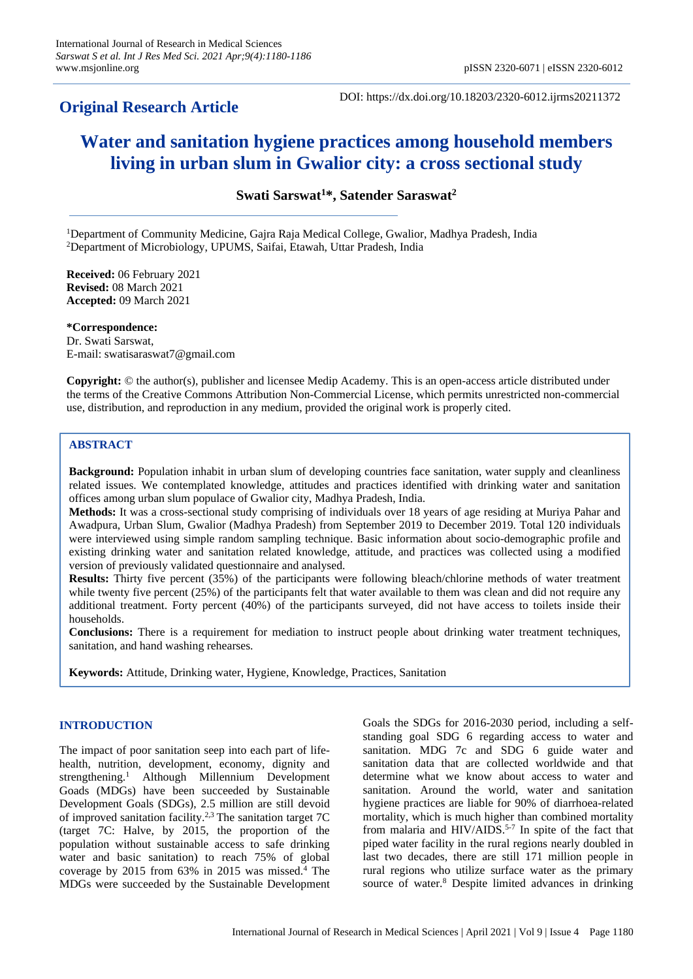# **Original Research Article**

DOI: https://dx.doi.org/10.18203/2320-6012.ijrms20211372

# **Water and sanitation hygiene practices among household members living in urban slum in Gwalior city: a cross sectional study**

**Swati Sarswat<sup>1</sup>\*, Satender Saraswat<sup>2</sup>**

<sup>1</sup>Department of Community Medicine, Gajra Raja Medical College, Gwalior, Madhya Pradesh, India <sup>2</sup>Department of Microbiology, UPUMS, Saifai, Etawah, Uttar Pradesh, India

**Received:** 06 February 2021 **Revised:** 08 March 2021 **Accepted:** 09 March 2021

**\*Correspondence:** Dr. Swati Sarswat, E-mail: swatisaraswat7@gmail.com

**Copyright:** © the author(s), publisher and licensee Medip Academy. This is an open-access article distributed under the terms of the Creative Commons Attribution Non-Commercial License, which permits unrestricted non-commercial use, distribution, and reproduction in any medium, provided the original work is properly cited.

### **ABSTRACT**

**Background:** Population inhabit in urban slum of developing countries face sanitation, water supply and cleanliness related issues. We contemplated knowledge, attitudes and practices identified with drinking water and sanitation offices among urban slum populace of Gwalior city, Madhya Pradesh, India.

**Methods:** It was a cross-sectional study comprising of individuals over 18 years of age residing at Muriya Pahar and Awadpura, Urban Slum, Gwalior (Madhya Pradesh) from September 2019 to December 2019. Total 120 individuals were interviewed using simple random sampling technique. Basic information about socio-demographic profile and existing drinking water and sanitation related knowledge, attitude, and practices was collected using a modified version of previously validated questionnaire and analysed.

**Results:** Thirty five percent (35%) of the participants were following bleach/chlorine methods of water treatment while twenty five percent (25%) of the participants felt that water available to them was clean and did not require any additional treatment. Forty percent (40%) of the participants surveyed, did not have access to toilets inside their households.

**Conclusions:** There is a requirement for mediation to instruct people about drinking water treatment techniques, sanitation, and hand washing rehearses.

**Keywords:** Attitude, Drinking water, Hygiene, Knowledge, Practices, Sanitation

### **INTRODUCTION**

The impact of poor sanitation seep into each part of lifehealth, nutrition, development, economy, dignity and strengthening.<sup>1</sup> Although Millennium Development Goads (MDGs) have been succeeded by Sustainable Development Goals (SDGs), 2.5 million are still devoid of improved sanitation facility.2,3 The sanitation target 7C (target 7C: Halve, by 2015, the proportion of the population without sustainable access to safe drinking water and basic sanitation) to reach 75% of global coverage by 2015 from 63% in 2015 was missed.<sup>4</sup> The MDGs were succeeded by the Sustainable Development Goals the SDGs for 2016-2030 period, including a selfstanding goal SDG 6 regarding access to water and sanitation. MDG 7c and SDG 6 guide water and sanitation data that are collected worldwide and that determine what we know about access to water and sanitation. Around the world, water and sanitation hygiene practices are liable for 90% of diarrhoea-related mortality, which is much higher than combined mortality from malaria and HIV/AIDS.<sup>5-7</sup> In spite of the fact that piped water facility in the rural regions nearly doubled in last two decades, there are still 171 million people in rural regions who utilize surface water as the primary source of water.<sup>8</sup> Despite limited advances in drinking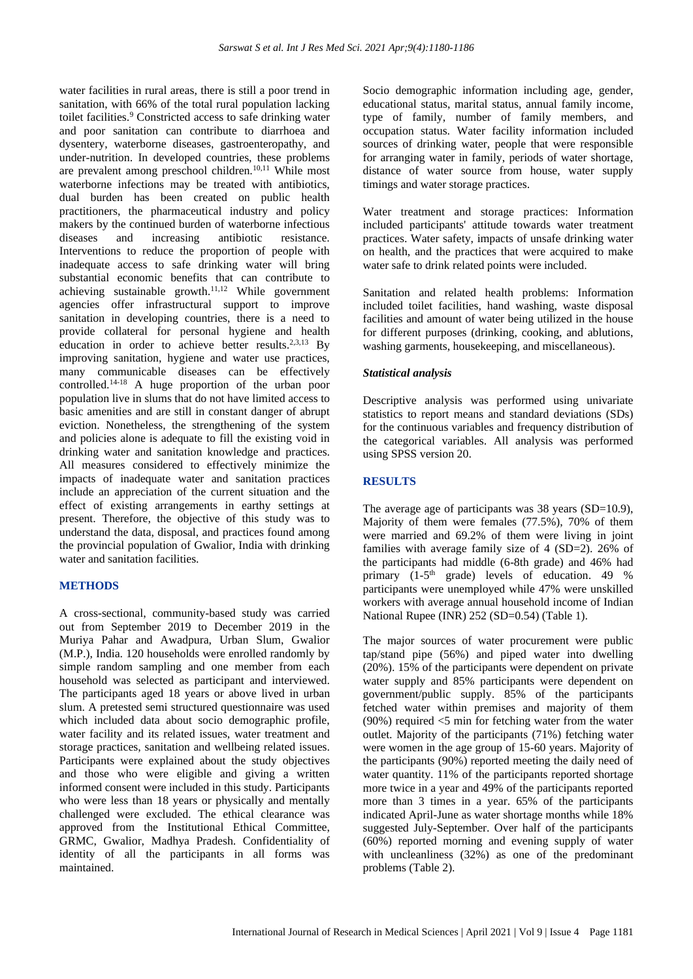water facilities in rural areas, there is still a poor trend in sanitation, with 66% of the total rural population lacking toilet facilities.<sup>9</sup> Constricted access to safe drinking water and poor sanitation can contribute to diarrhoea and dysentery, waterborne diseases, gastroenteropathy, and under-nutrition. In developed countries, these problems are prevalent among preschool children.<sup>10,11</sup> While most waterborne infections may be treated with antibiotics, dual burden has been created on public health practitioners, the pharmaceutical industry and policy makers by the continued burden of waterborne infectious diseases and increasing antibiotic resistance. Interventions to reduce the proportion of people with inadequate access to safe drinking water will bring substantial economic benefits that can contribute to achieving sustainable growth. $11,12$  While government agencies offer infrastructural support to improve sanitation in developing countries, there is a need to provide collateral for personal hygiene and health education in order to achieve better results.<sup>2,3,13</sup> By improving sanitation, hygiene and water use practices, many communicable diseases can be effectively controlled.14-18 A huge proportion of the urban poor population live in slums that do not have limited access to basic amenities and are still in constant danger of abrupt eviction. Nonetheless, the strengthening of the system and policies alone is adequate to fill the existing void in drinking water and sanitation knowledge and practices. All measures considered to effectively minimize the impacts of inadequate water and sanitation practices include an appreciation of the current situation and the effect of existing arrangements in earthy settings at present. Therefore, the objective of this study was to understand the data, disposal, and practices found among the provincial population of Gwalior, India with drinking water and sanitation facilities.

### **METHODS**

A cross-sectional, community-based study was carried out from September 2019 to December 2019 in the Muriya Pahar and Awadpura, Urban Slum, Gwalior (M.P.), India. 120 households were enrolled randomly by simple random sampling and one member from each household was selected as participant and interviewed. The participants aged 18 years or above lived in urban slum. A pretested semi structured questionnaire was used which included data about socio demographic profile, water facility and its related issues, water treatment and storage practices, sanitation and wellbeing related issues. Participants were explained about the study objectives and those who were eligible and giving a written informed consent were included in this study. Participants who were less than 18 years or physically and mentally challenged were excluded. The ethical clearance was approved from the Institutional Ethical Committee, GRMC, Gwalior, Madhya Pradesh. Confidentiality of identity of all the participants in all forms was maintained.

Socio demographic information including age, gender, educational status, marital status, annual family income, type of family, number of family members, and occupation status. Water facility information included sources of drinking water, people that were responsible for arranging water in family, periods of water shortage, distance of water source from house, water supply timings and water storage practices.

Water treatment and storage practices: Information included participants' attitude towards water treatment practices. Water safety, impacts of unsafe drinking water on health, and the practices that were acquired to make water safe to drink related points were included.

Sanitation and related health problems: Information included toilet facilities, hand washing, waste disposal facilities and amount of water being utilized in the house for different purposes (drinking, cooking, and ablutions, washing garments, housekeeping, and miscellaneous).

### *Statistical analysis*

Descriptive analysis was performed using univariate statistics to report means and standard deviations (SDs) for the continuous variables and frequency distribution of the categorical variables. All analysis was performed using SPSS version 20.

## **RESULTS**

The average age of participants was  $38$  years (SD=10.9), Majority of them were females (77.5%), 70% of them were married and 69.2% of them were living in joint families with average family size of 4 (SD=2). 26% of the participants had middle (6-8th grade) and 46% had primary (1-5<sup>th</sup> grade) levels of education. 49 % participants were unemployed while 47% were unskilled workers with average annual household income of Indian National Rupee (INR) 252 (SD=0.54) (Table 1).

The major sources of water procurement were public tap/stand pipe (56%) and piped water into dwelling (20%). 15% of the participants were dependent on private water supply and 85% participants were dependent on government/public supply. 85% of the participants fetched water within premises and majority of them  $(90\%)$  required  $\leq$ 5 min for fetching water from the water outlet. Majority of the participants (71%) fetching water were women in the age group of 15-60 years. Majority of the participants (90%) reported meeting the daily need of water quantity. 11% of the participants reported shortage more twice in a year and 49% of the participants reported more than 3 times in a year. 65% of the participants indicated April-June as water shortage months while 18% suggested July-September. Over half of the participants (60%) reported morning and evening supply of water with uncleanliness (32%) as one of the predominant problems (Table 2).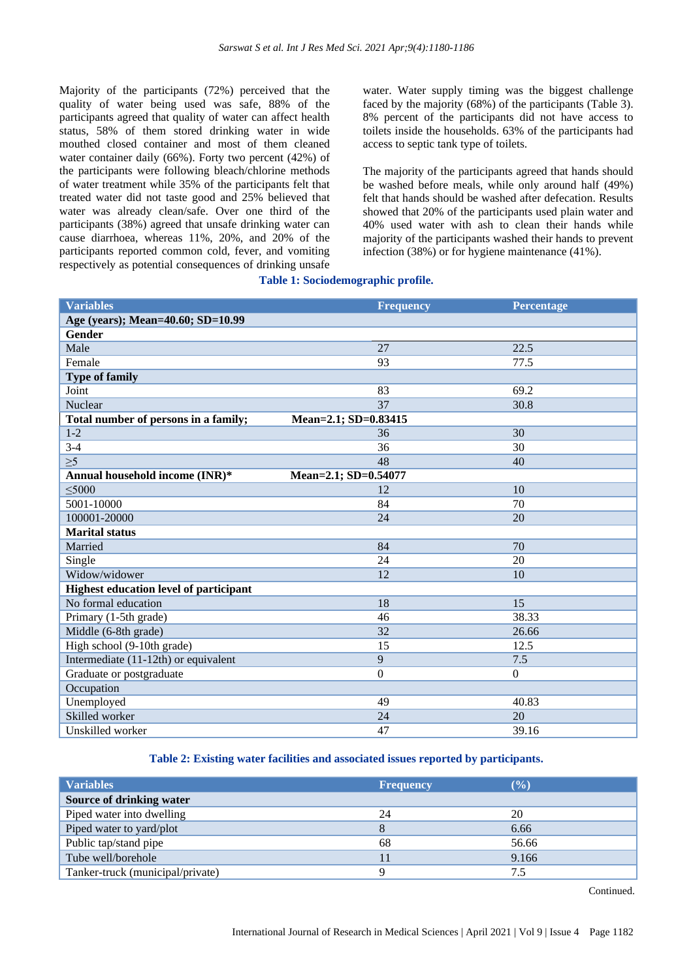Majority of the participants (72%) perceived that the quality of water being used was safe, 88% of the participants agreed that quality of water can affect health status, 58% of them stored drinking water in wide mouthed closed container and most of them cleaned water container daily (66%). Forty two percent (42%) of the participants were following bleach/chlorine methods of water treatment while 35% of the participants felt that treated water did not taste good and 25% believed that water was already clean/safe. Over one third of the participants (38%) agreed that unsafe drinking water can cause diarrhoea, whereas 11%, 20%, and 20% of the participants reported common cold, fever, and vomiting respectively as potential consequences of drinking unsafe water. Water supply timing was the biggest challenge faced by the majority (68%) of the participants (Table 3). 8% percent of the participants did not have access to toilets inside the households. 63% of the participants had access to septic tank type of toilets.

The majority of the participants agreed that hands should be washed before meals, while only around half (49%) felt that hands should be washed after defecation. Results showed that 20% of the participants used plain water and 40% used water with ash to clean their hands while majority of the participants washed their hands to prevent infection (38%) or for hygiene maintenance (41%).

|  |  | Table 1: Sociodemographic profile. |  |
|--|--|------------------------------------|--|
|--|--|------------------------------------|--|

| <b>Variables</b>                                       | <b>Frequency</b>     | Percentage   |  |
|--------------------------------------------------------|----------------------|--------------|--|
| Age (years); Mean=40.60; SD=10.99                      |                      |              |  |
| Gender                                                 |                      |              |  |
| Male                                                   | 27                   | 22.5         |  |
| Female                                                 | 93                   | 77.5         |  |
| <b>Type of family</b>                                  |                      |              |  |
| Joint                                                  | 83                   | 69.2         |  |
| Nuclear                                                | 37                   | 30.8         |  |
| Total number of persons in a family;                   | Mean=2.1; SD=0.83415 |              |  |
| $1 - 2$                                                | 36                   | 30           |  |
| $3 - 4$                                                | 36                   | 30           |  |
| $\geq 5$                                               | 48                   | 40           |  |
| Annual household income (INR)*<br>Mean=2.1; SD=0.54077 |                      |              |  |
| $\leq 5000$                                            | 12                   | 10           |  |
| 5001-10000                                             | 84                   | 70           |  |
| 100001-20000                                           | 24                   | 20           |  |
| <b>Marital status</b>                                  |                      |              |  |
| Married                                                | 84                   | 70           |  |
| Single                                                 | 24                   | 20           |  |
| Widow/widower                                          | 12                   | 10           |  |
| Highest education level of participant                 |                      |              |  |
| No formal education                                    | 18                   | 15           |  |
| Primary (1-5th grade)                                  | 46                   | 38.33        |  |
| Middle (6-8th grade)                                   | 32                   | 26.66        |  |
| High school (9-10th grade)                             | 15                   | 12.5         |  |
| Intermediate (11-12th) or equivalent                   | 9                    | 7.5          |  |
| Graduate or postgraduate                               | $\Omega$             | $\mathbf{0}$ |  |
| Occupation                                             |                      |              |  |
| Unemployed                                             | 49                   | 40.83        |  |
| Skilled worker                                         | 24                   | 20           |  |
| Unskilled worker                                       | 47                   | 39.16        |  |

### **Table 2: Existing water facilities and associated issues reported by participants.**

| <b>Variables</b>                 | <b>Frequency</b> | $\left( \frac{0}{0} \right)$ |
|----------------------------------|------------------|------------------------------|
| Source of drinking water         |                  |                              |
| Piped water into dwelling        | 24               | 20                           |
| Piped water to yard/plot         |                  | 6.66                         |
| Public tap/stand pipe            | 68               | 56.66                        |
| Tube well/borehole               |                  | 9.166                        |
| Tanker-truck (municipal/private) |                  | 7.5                          |

Continued.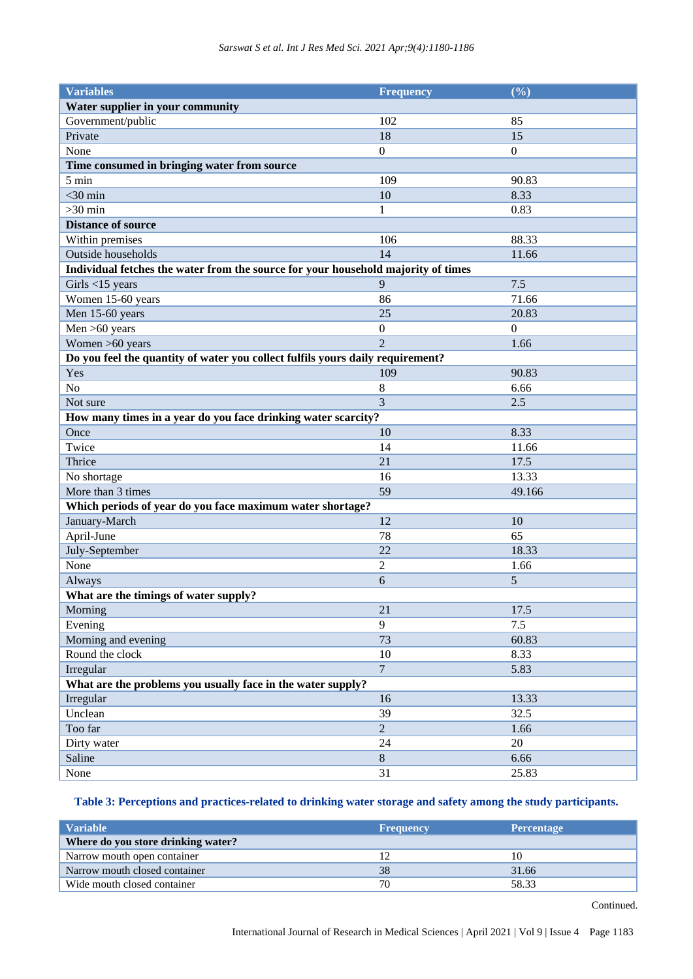| Variables                                                                         | <b>Frequency</b> | (%)          |  |
|-----------------------------------------------------------------------------------|------------------|--------------|--|
| Water supplier in your community                                                  |                  |              |  |
| Government/public                                                                 | 102              | 85           |  |
| Private                                                                           | 18               | 15           |  |
| None                                                                              | $\boldsymbol{0}$ | $\mathbf{0}$ |  |
| Time consumed in bringing water from source                                       |                  |              |  |
| $5 \text{ min}$                                                                   | 109              | 90.83        |  |
| $<$ 30 min                                                                        | 10               | 8.33         |  |
| $>30$ min                                                                         | $\mathbf{1}$     | 0.83         |  |
| <b>Distance of source</b>                                                         |                  |              |  |
| Within premises                                                                   | 106              | 88.33        |  |
| Outside households                                                                | 14               | 11.66        |  |
| Individual fetches the water from the source for your household majority of times |                  |              |  |
| Girls $<$ 15 years                                                                | $\mathbf{Q}$     | 7.5          |  |
| Women 15-60 years                                                                 | 86               | 71.66        |  |
| Men 15-60 years                                                                   | 25               | 20.83        |  |
| Men $>60$ years                                                                   | $\boldsymbol{0}$ | $\Omega$     |  |
| Women >60 years                                                                   | $\overline{2}$   | 1.66         |  |
| Do you feel the quantity of water you collect fulfils yours daily requirement?    |                  |              |  |
| Yes                                                                               | 109              | 90.83        |  |
| N <sub>o</sub>                                                                    | 8                | 6.66         |  |
| Not sure                                                                          | $\overline{3}$   | 2.5          |  |
| How many times in a year do you face drinking water scarcity?                     |                  |              |  |
| Once                                                                              | 10               | 8.33         |  |
| Twice                                                                             | 14               | 11.66        |  |
| Thrice                                                                            | 21               | 17.5         |  |
| No shortage                                                                       | 16               | 13.33        |  |
| More than 3 times                                                                 | 59               | 49.166       |  |
| Which periods of year do you face maximum water shortage?                         |                  |              |  |
| January-March                                                                     | 12               | 10           |  |
| April-June                                                                        | 78               | 65           |  |
| July-September                                                                    | 22               | 18.33        |  |
| None                                                                              | $\overline{2}$   | 1.66         |  |
| Always                                                                            | 6                | 5            |  |
| What are the timings of water supply?                                             |                  |              |  |
| Morning                                                                           | 21               | 17.5         |  |
| Evening                                                                           | 9                | 7.5          |  |
| Morning and evening                                                               | 73               | 60.83        |  |
| Round the clock                                                                   | 10               | 8.33         |  |
| Irregular                                                                         | 7 <sup>7</sup>   | 5.83         |  |
| What are the problems you usually face in the water supply?                       |                  |              |  |
| Irregular                                                                         | 16               | 13.33        |  |
| Unclean                                                                           | 39               | 32.5         |  |
| Too far                                                                           | $\overline{2}$   | 1.66         |  |
| Dirty water                                                                       | 24               | 20           |  |
| Saline                                                                            | $8\,$            | 6.66         |  |
| None                                                                              | 31               | 25.83        |  |

# **Table 3: Perceptions and practices-related to drinking water storage and safety among the study participants.**

| <b>Variable</b>                    | <b>Frequency</b> | <b>Percentage</b> |
|------------------------------------|------------------|-------------------|
| Where do you store drinking water? |                  |                   |
| Narrow mouth open container        |                  | 10                |
| Narrow mouth closed container      | 38               | 31.66             |
| Wide mouth closed container        | 70               | 58.33             |

Continued.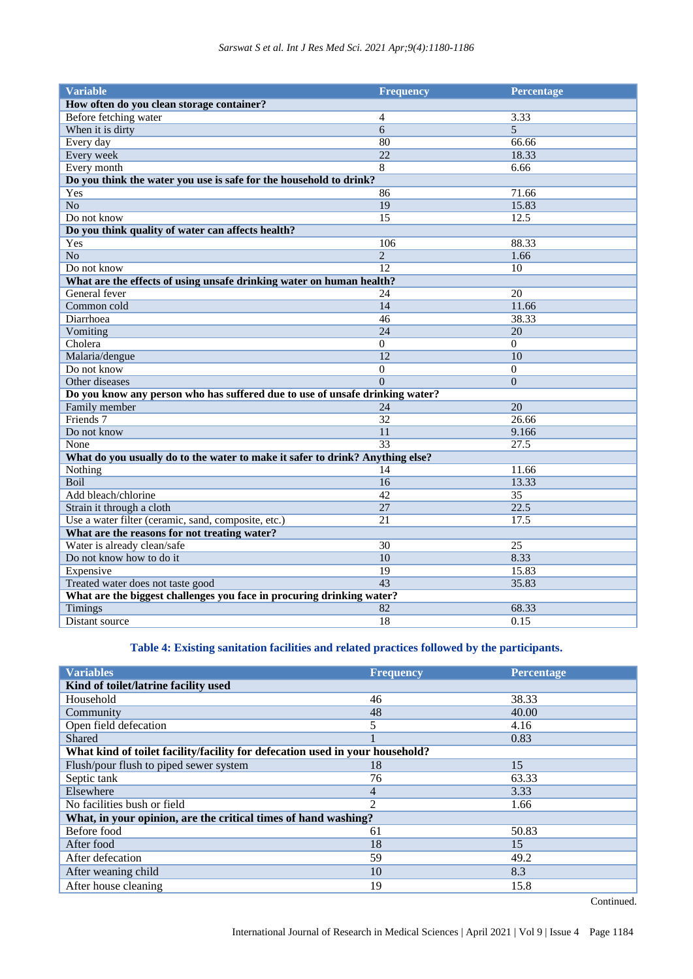| <b>Variable</b>                                                               | <b>Frequency</b> | Percentage      |  |
|-------------------------------------------------------------------------------|------------------|-----------------|--|
| How often do you clean storage container?                                     |                  |                 |  |
| Before fetching water                                                         | $\overline{4}$   | 3.33            |  |
| When it is dirty                                                              | 6                | 5               |  |
| Every day                                                                     | 80               | 66.66           |  |
| Every week                                                                    | 22               | 18.33           |  |
| Every month                                                                   | $\overline{8}$   | 6.66            |  |
| Do you think the water you use is safe for the household to drink?            |                  |                 |  |
| Yes                                                                           | 86               | 71.66           |  |
| N <sub>o</sub>                                                                | 19               | 15.83           |  |
| Do not know                                                                   | 15               | 12.5            |  |
| Do you think quality of water can affects health?                             |                  |                 |  |
| Yes                                                                           | 106              | 88.33           |  |
| $\overline{No}$                                                               | $\overline{2}$   | 1.66            |  |
| Do not know                                                                   | 12               | 10              |  |
| What are the effects of using unsafe drinking water on human health?          |                  |                 |  |
| General fever                                                                 | 24               | $\overline{20}$ |  |
| Common cold                                                                   | 14               | 11.66           |  |
| Diarrhoea                                                                     | 46               | 38.33           |  |
| Vomiting                                                                      | 24               | 20              |  |
| Cholera                                                                       | $\Omega$         | $\Omega$        |  |
| Malaria/dengue                                                                | $\overline{12}$  | 10              |  |
| Do not know                                                                   | $\overline{0}$   | $\Omega$        |  |
| Other diseases                                                                | $\overline{0}$   | $\overline{0}$  |  |
| Do you know any person who has suffered due to use of unsafe drinking water?  |                  |                 |  |
| Family member                                                                 | 24               | 20              |  |
| Friends 7                                                                     | $\overline{32}$  | 26.66           |  |
| Do not know                                                                   | $\overline{11}$  | 9.166           |  |
| None                                                                          | 33               | 27.5            |  |
| What do you usually do to the water to make it safer to drink? Anything else? |                  |                 |  |
| Nothing                                                                       | 14               | 11.66           |  |
| <b>Boil</b>                                                                   | $\overline{16}$  | 13.33           |  |
| Add bleach/chlorine                                                           | $\overline{42}$  | 35              |  |
| Strain it through a cloth                                                     | 27               | 22.5            |  |
| Use a water filter (ceramic, sand, composite, etc.)                           | 21               | 17.5            |  |
| What are the reasons for not treating water?                                  |                  |                 |  |
| Water is already clean/safe                                                   | 30               | 25              |  |
| Do not know how to do it                                                      | 10               | 8.33            |  |
| Expensive                                                                     | $\overline{19}$  | 15.83           |  |
| Treated water does not taste good                                             | 43               | 35.83           |  |
| What are the biggest challenges you face in procuring drinking water?         |                  |                 |  |
| <b>Timings</b>                                                                | 82               | 68.33           |  |
| Distant source                                                                | $\overline{18}$  | 0.15            |  |

# **Table 4: Existing sanitation facilities and related practices followed by the participants.**

| <b>Variables</b>                                                             | <b>Frequency</b> | <b>Percentage</b> |  |  |
|------------------------------------------------------------------------------|------------------|-------------------|--|--|
| Kind of toilet/latrine facility used                                         |                  |                   |  |  |
| Household                                                                    | 46               | 38.33             |  |  |
| Community                                                                    | 48               | 40.00             |  |  |
| Open field defecation                                                        | 5                | 4.16              |  |  |
| Shared                                                                       |                  | 0.83              |  |  |
| What kind of toilet facility/facility for defecation used in your household? |                  |                   |  |  |
| Flush/pour flush to piped sewer system                                       | 18               | 15                |  |  |
| Septic tank                                                                  | 76               | 63.33             |  |  |
| Elsewhere                                                                    | $\overline{4}$   | 3.33              |  |  |
| No facilities bush or field                                                  | $\overline{2}$   | 1.66              |  |  |
| What, in your opinion, are the critical times of hand washing?               |                  |                   |  |  |
| Before food                                                                  | 61               | 50.83             |  |  |
| After food                                                                   | 18               | 15                |  |  |
| After defecation                                                             | 59               | 49.2              |  |  |
| After weaning child                                                          | 10               | 8.3               |  |  |
| After house cleaning                                                         | 19               | 15.8              |  |  |

Continued.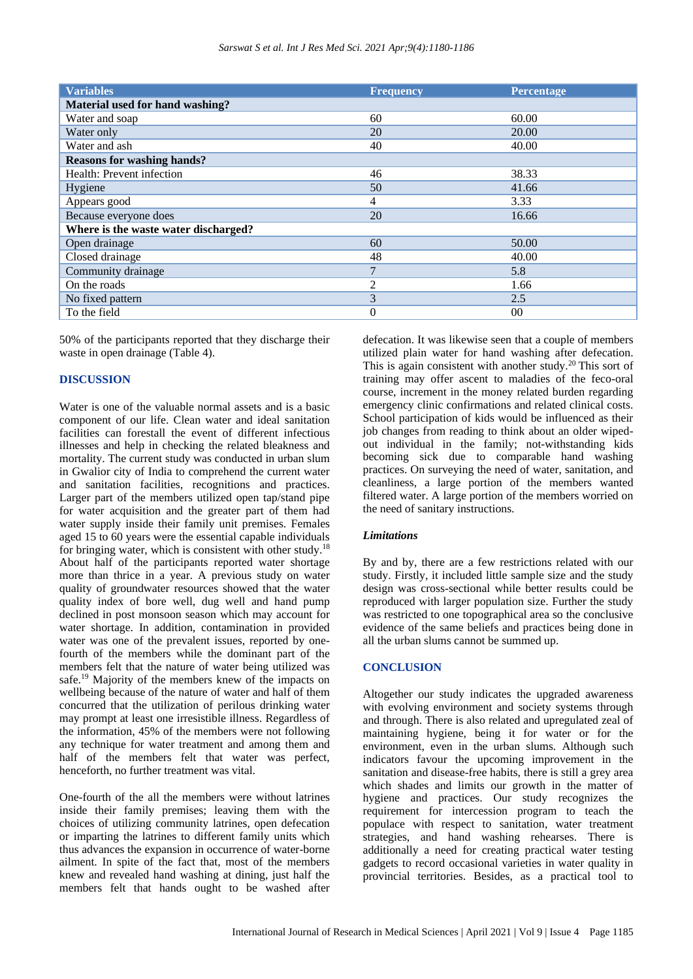| <b>Variables</b>                     | <b>Frequency</b> | <b>Percentage</b> |  |
|--------------------------------------|------------------|-------------------|--|
| Material used for hand washing?      |                  |                   |  |
| Water and soap                       | 60               | 60.00             |  |
| Water only                           | 20               | 20.00             |  |
| Water and ash                        | 40               | 40.00             |  |
| <b>Reasons for washing hands?</b>    |                  |                   |  |
| Health: Prevent infection            | 46               | 38.33             |  |
| Hygiene                              | 50               | 41.66             |  |
| Appears good                         | 4                | 3.33              |  |
| Because everyone does                | 20               | 16.66             |  |
| Where is the waste water discharged? |                  |                   |  |
| Open drainage                        | 60               | 50.00             |  |
| Closed drainage                      | 48               | 40.00             |  |
| Community drainage                   | $\overline{7}$   | 5.8               |  |
| On the roads                         | 2                | 1.66              |  |
| No fixed pattern                     | 3                | 2.5               |  |
| To the field                         | $\theta$         | 0 <sub>0</sub>    |  |

50% of the participants reported that they discharge their waste in open drainage (Table 4).

### **DISCUSSION**

Water is one of the valuable normal assets and is a basic component of our life. Clean water and ideal sanitation facilities can forestall the event of different infectious illnesses and help in checking the related bleakness and mortality. The current study was conducted in urban slum in Gwalior city of India to comprehend the current water and sanitation facilities, recognitions and practices. Larger part of the members utilized open tap/stand pipe for water acquisition and the greater part of them had water supply inside their family unit premises. Females aged 15 to 60 years were the essential capable individuals for bringing water, which is consistent with other study.<sup>18</sup> About half of the participants reported water shortage more than thrice in a year. A previous study on water quality of groundwater resources showed that the water quality index of bore well, dug well and hand pump declined in post monsoon season which may account for water shortage. In addition, contamination in provided water was one of the prevalent issues, reported by onefourth of the members while the dominant part of the members felt that the nature of water being utilized was safe.<sup>19</sup> Majority of the members knew of the impacts on wellbeing because of the nature of water and half of them concurred that the utilization of perilous drinking water may prompt at least one irresistible illness. Regardless of the information, 45% of the members were not following any technique for water treatment and among them and half of the members felt that water was perfect, henceforth, no further treatment was vital.

One-fourth of the all the members were without latrines inside their family premises; leaving them with the choices of utilizing community latrines, open defecation or imparting the latrines to different family units which thus advances the expansion in occurrence of water-borne ailment. In spite of the fact that, most of the members knew and revealed hand washing at dining, just half the members felt that hands ought to be washed after

defecation. It was likewise seen that a couple of members utilized plain water for hand washing after defecation. This is again consistent with another study.<sup>20</sup> This sort of training may offer ascent to maladies of the feco-oral course, increment in the money related burden regarding emergency clinic confirmations and related clinical costs. School participation of kids would be influenced as their job changes from reading to think about an older wipedout individual in the family; not-withstanding kids becoming sick due to comparable hand washing practices. On surveying the need of water, sanitation, and cleanliness, a large portion of the members wanted filtered water. A large portion of the members worried on the need of sanitary instructions.

#### *Limitations*

By and by, there are a few restrictions related with our study. Firstly, it included little sample size and the study design was cross-sectional while better results could be reproduced with larger population size. Further the study was restricted to one topographical area so the conclusive evidence of the same beliefs and practices being done in all the urban slums cannot be summed up.

### **CONCLUSION**

Altogether our study indicates the upgraded awareness with evolving environment and society systems through and through. There is also related and upregulated zeal of maintaining hygiene, being it for water or for the environment, even in the urban slums. Although such indicators favour the upcoming improvement in the sanitation and disease-free habits, there is still a grey area which shades and limits our growth in the matter of hygiene and practices. Our study recognizes the requirement for intercession program to teach the populace with respect to sanitation, water treatment strategies, and hand washing rehearses. There is additionally a need for creating practical water testing gadgets to record occasional varieties in water quality in provincial territories. Besides, as a practical tool to